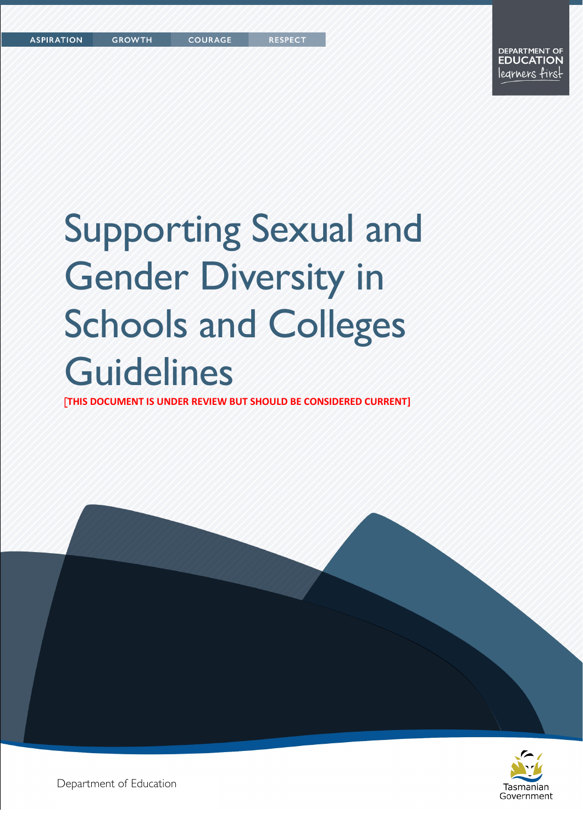# Supporting Sexual and Gender Diversity in Schools and Colleges **Guidelines**

[**THIS DOCUMENT IS UNDER REVIEW BUT SHOULD BE CONSIDERED CURRENT]**



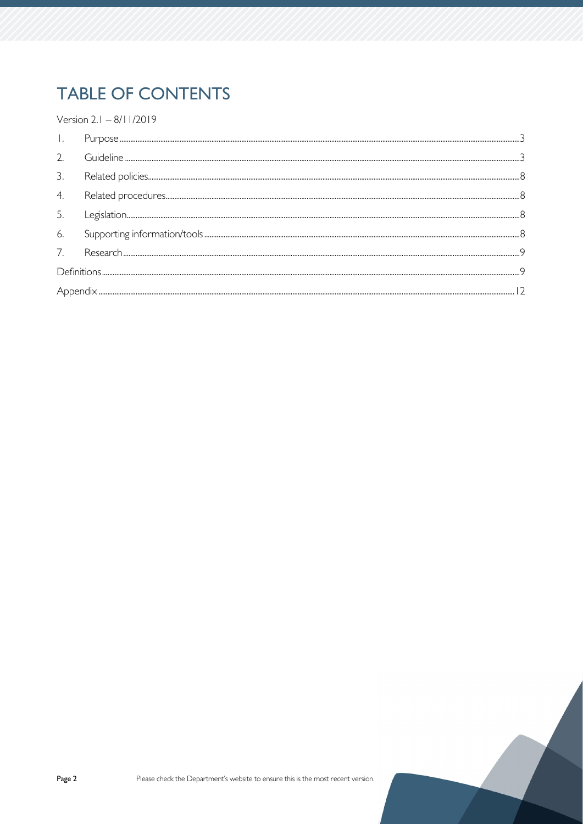## **TABLE OF CONTENTS**

Version 2.1 - 8/11/2019

| 2.               |  |  |  |
|------------------|--|--|--|
| 3.               |  |  |  |
| $\overline{4}$ . |  |  |  |
| 5.               |  |  |  |
| 6.               |  |  |  |
| 7.               |  |  |  |
|                  |  |  |  |
|                  |  |  |  |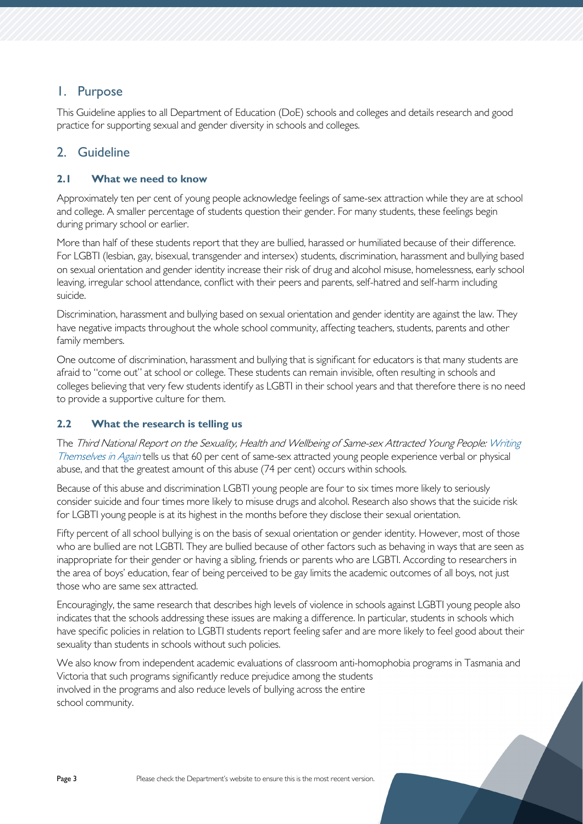## <span id="page-2-0"></span>1. Purpose

This Guideline applies to all Department of Education (DoE) schools and colleges and details research and good practice for supporting sexual and gender diversity in schools and colleges.

## <span id="page-2-1"></span>2. Guideline

## **2.1 What we need to know**

Approximately ten per cent of young people acknowledge feelings of same-sex attraction while they are at school and college. A smaller percentage of students question their gender. For many students, these feelings begin during primary school or earlier.

More than half of these students report that they are bullied, harassed or humiliated because of their difference. For LGBTI (lesbian, gay, bisexual, transgender and intersex) students, discrimination, harassment and bullying based on sexual orientation and gender identity increase their risk of drug and alcohol misuse, homelessness, early school leaving, irregular school attendance, conflict with their peers and parents, self-hatred and self-harm including suicide.

Discrimination, harassment and bullying based on sexual orientation and gender identity are against the law. They have negative impacts throughout the whole school community, affecting teachers, students, parents and other family members.

One outcome of discrimination, harassment and bullying that is significant for educators is that many students are afraid to "come out" at school or college. These students can remain invisible, often resulting in schools and colleges believing that very few students identify as LGBTI in their school years and that therefore there is no need to provide a supportive culture for them.

## **2.2 What the research is telling us**

The Third National Report on the Sexuality, Health and Wellbeing of Same-sex Attracted Young People[: Writing](https://www.researchgate.net/publication/281562614_Writing_Themselves_in_3_The_Third_National_Study_on_the_Sexual_Health_and_Wellbeing_of_Same_Sex_Attracted_and_Gender_Questioning_Young_People)  [Themselves in Again](https://www.researchgate.net/publication/281562614_Writing_Themselves_in_3_The_Third_National_Study_on_the_Sexual_Health_and_Wellbeing_of_Same_Sex_Attracted_and_Gender_Questioning_Young_People) tells us that 60 per cent of same-sex attracted young people experience verbal or physical abuse, and that the greatest amount of this abuse (74 per cent) occurs within schools.

Because of this abuse and discrimination LGBTI young people are four to six times more likely to seriously consider suicide and four times more likely to misuse drugs and alcohol. Research also shows that the suicide risk for LGBTI young people is at its highest in the months before they disclose their sexual orientation.

Fifty percent of all school bullying is on the basis of sexual orientation or gender identity. However, most of those who are bullied are not LGBTI. They are bullied because of other factors such as behaving in ways that are seen as inappropriate for their gender or having a sibling, friends or parents who are LGBTI. According to researchers in the area of boys' education, fear of being perceived to be gay limits the academic outcomes of all boys, not just those who are same sex attracted.

Encouragingly, the same research that describes high levels of violence in schools against LGBTI young people also indicates that the schools addressing these issues are making a difference. In particular, students in schools which have specific policies in relation to LGBTI students report feeling safer and are more likely to feel good about their sexuality than students in schools without such policies.

We also know from independent academic evaluations of classroom anti-homophobia programs in Tasmania and Victoria that such programs significantly reduce prejudice among the students involved in the programs and also reduce levels of bullying across the entire school community.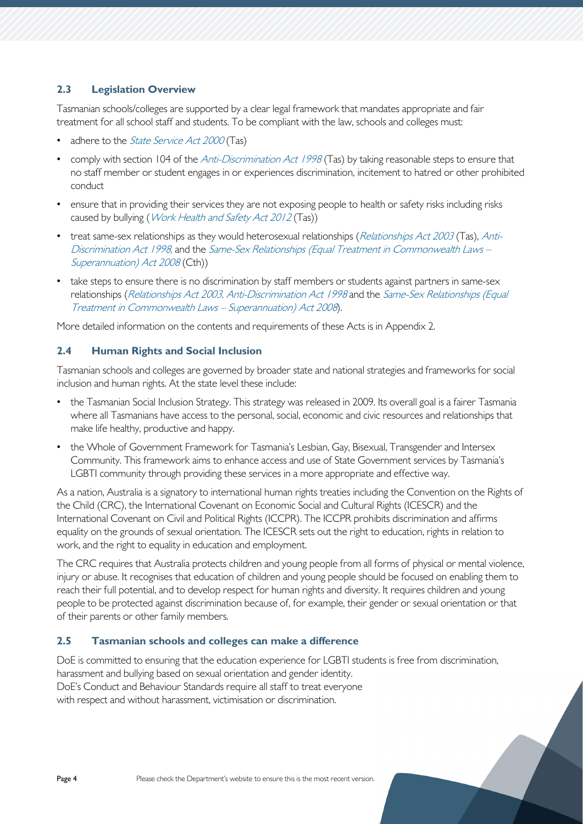## **2.3 Legislation Overview**

Tasmanian schools/colleges are supported by a clear legal framework that mandates appropriate and fair treatment for all school staff and students. To be compliant with the law, schools and colleges must:

- adhere to the *[State Service Act 2000](https://www.legislation.tas.gov.au/view/html/inforce/current/act-2000-085)* (Tas)
- comply with section 104 of the *[Anti-Discrimination Act 1998](https://www.legislation.tas.gov.au/view/html/inforce/current/act-1998-046)* (Tas) by taking reasonable steps to ensure that no staff member or student engages in or experiences discrimination, incitement to hatred or other prohibited conduct
- ensure that in providing their services they are not exposing people to health or safety risks including risks caused by bullying (*[Work Health and Safety Act 2012](https://www.legislation.tas.gov.au/view/whole/html/inforce/current/act-2012-001)* (Tas))
- treat same-sex relationships as they would heterosexual relationships ([Relationships Act 2003](https://www.legislation.tas.gov.au/view/html/inforce/current/act-2003-044) (Tas), [Anti-](https://www.legislation.tas.gov.au/view/html/inforce/current/act-1998-046)[Discrimination Act 1998,](https://www.legislation.tas.gov.au/view/html/inforce/current/act-1998-046) and the Same-Sex Relationships [\(Equal Treatment in Commonwealth Laws –](https://www.legislation.gov.au/Details/C2015C00455) [Superannuation\)](https://www.legislation.gov.au/Details/C2015C00455) Act 2008 (Cth))
- take steps to ensure there is no discrimination by staff members or students against partners in same-sex relationships ([Relationships Act](https://www.legislation.tas.gov.au/view/html/inforce/current/act-2003-044) <sup>2003</sup>, [Anti-Discrimination Act](https://www.legislation.tas.gov.au/view/html/inforce/current/act-1998-046) <sup>1998</sup> and the [Same-Sex Relationships \(Equal](https://www.legislation.gov.au/Details/C2015C00455)  [Treatment in Commonwealth Laws –](https://www.legislation.gov.au/Details/C2015C00455) Superannuation) Act <sup>2008</sup>).

More detailed information on the contents and requirements of these Acts is in Appendix 2.

## **2.4 Human Rights and Social Inclusion**

Tasmanian schools and colleges are governed by broader state and national strategies and frameworks for social inclusion and human rights. At the state level these include:

- the Tasmanian Social Inclusion Strategy. This strategy was released in 2009. Its overall goal is a fairer Tasmania where all Tasmanians have access to the personal, social, economic and civic resources and relationships that make life healthy, productive and happy.
- the Whole of Government Framework for Tasmania's Lesbian, Gay, Bisexual, Transgender and Intersex Community. This framework aims to enhance access and use of State Government services by Tasmania's LGBTI community through providing these services in a more appropriate and effective way.

As a nation, Australia is a signatory to international human rights treaties including the Convention on the Rights of the Child (CRC), the International Covenant on Economic Social and Cultural Rights (ICESCR) and the International Covenant on Civil and Political Rights (ICCPR). The ICCPR prohibits discrimination and affirms equality on the grounds of sexual orientation. The ICESCR sets out the right to education, rights in relation to work, and the right to equality in education and employment.

The CRC requires that Australia protects children and young people from all forms of physical or mental violence, injury or abuse. It recognises that education of children and young people should be focused on enabling them to reach their full potential, and to develop respect for human rights and diversity. It requires children and young people to be protected against discrimination because of, for example, their gender or sexual orientation or that of their parents or other family members.

## **2.5 Tasmanian schools and colleges can make a difference**

DoE is committed to ensuring that the education experience for LGBTI students is free from discrimination, harassment and bullying based on sexual orientation and gender identity. DoE's Conduct and Behaviour Standards require all staff to treat everyone with respect and without harassment, victimisation or discrimination.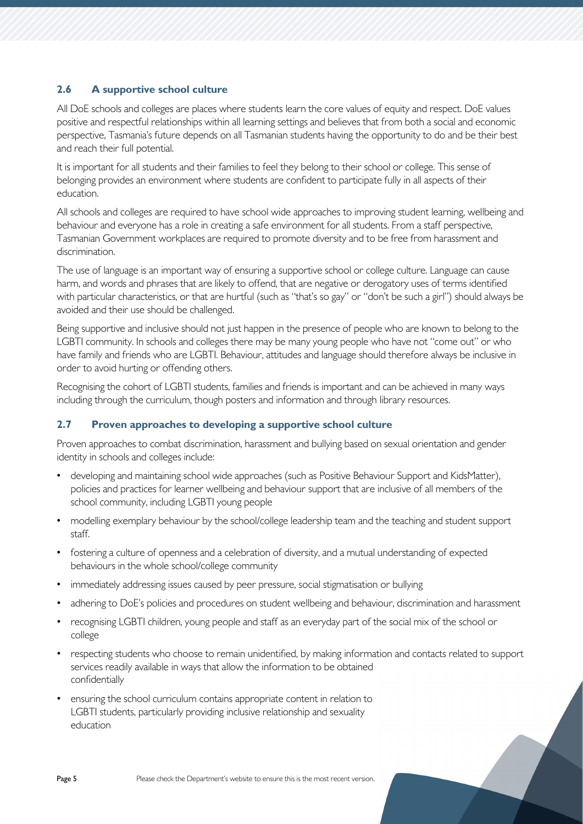## **2.6 A supportive school culture**

All DoE schools and colleges are places where students learn the core values of equity and respect. DoE values positive and respectful relationships within all learning settings and believes that from both a social and economic perspective, Tasmania's future depends on all Tasmanian students having the opportunity to do and be their best and reach their full potential.

It is important for all students and their families to feel they belong to their school or college. This sense of belonging provides an environment where students are confident to participate fully in all aspects of their education.

All schools and colleges are required to have school wide approaches to improving student learning, wellbeing and behaviour and everyone has a role in creating a safe environment for all students. From a staff perspective, Tasmanian Government workplaces are required to promote diversity and to be free from harassment and discrimination.

The use of language is an important way of ensuring a supportive school or college culture. Language can cause harm, and words and phrases that are likely to offend, that are negative or derogatory uses of terms identified with particular characteristics, or that are hurtful (such as "that's so gay" or "don't be such a girl") should always be avoided and their use should be challenged.

Being supportive and inclusive should not just happen in the presence of people who are known to belong to the LGBTI community. In schools and colleges there may be many young people who have not "come out" or who have family and friends who are LGBTI. Behaviour, attitudes and language should therefore always be inclusive in order to avoid hurting or offending others.

Recognising the cohort of LGBTI students, families and friends is important and can be achieved in many ways including through the curriculum, though posters and information and through library resources.

## **2.7 Proven approaches to developing a supportive school culture**

Proven approaches to combat discrimination, harassment and bullying based on sexual orientation and gender identity in schools and colleges include:

- developing and maintaining school wide approaches (such as Positive Behaviour Support and KidsMatter), policies and practices for learner wellbeing and behaviour support that are inclusive of all members of the school community, including LGBTI young people
- modelling exemplary behaviour by the school/college leadership team and the teaching and student support staff.
- fostering a culture of openness and a celebration of diversity, and a mutual understanding of expected behaviours in the whole school/college community
- immediately addressing issues caused by peer pressure, social stigmatisation or bullying
- adhering to DoE's policies and procedures on student wellbeing and behaviour, discrimination and harassment
- recognising LGBTI children, young people and staff as an everyday part of the social mix of the school or college
- respecting students who choose to remain unidentified, by making information and contacts related to support services readily available in ways that allow the information to be obtained confidentially
- ensuring the school curriculum contains appropriate content in relation to LGBTI students, particularly providing inclusive relationship and sexuality education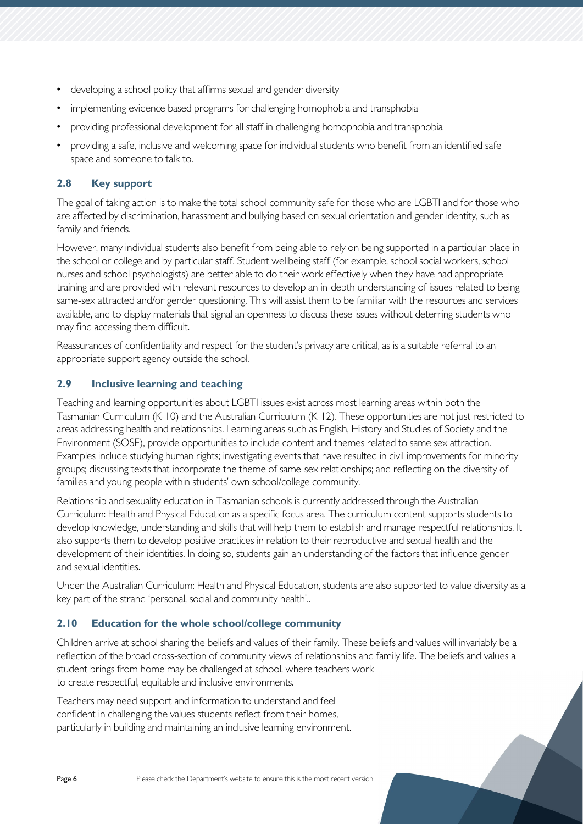- developing a school policy that affirms sexual and gender diversity
- implementing evidence based programs for challenging homophobia and transphobia
- providing professional development for all staff in challenging homophobia and transphobia
- providing a safe, inclusive and welcoming space for individual students who benefit from an identified safe space and someone to talk to.

## **2.8 Key support**

The goal of taking action is to make the total school community safe for those who are LGBTI and for those who are affected by discrimination, harassment and bullying based on sexual orientation and gender identity, such as family and friends.

However, many individual students also benefit from being able to rely on being supported in a particular place in the school or college and by particular staff. Student wellbeing staff (for example, school social workers, school nurses and school psychologists) are better able to do their work effectively when they have had appropriate training and are provided with relevant resources to develop an in-depth understanding of issues related to being same-sex attracted and/or gender questioning. This will assist them to be familiar with the resources and services available, and to display materials that signal an openness to discuss these issues without deterring students who may find accessing them difficult.

Reassurances of confidentiality and respect for the student's privacy are critical, as is a suitable referral to an appropriate support agency outside the school.

## **2.9 Inclusive learning and teaching**

Teaching and learning opportunities about LGBTI issues exist across most learning areas within both the Tasmanian Curriculum (K-10) and the Australian Curriculum (K-12). These opportunities are not just restricted to areas addressing health and relationships. Learning areas such as English, History and Studies of Society and the Environment (SOSE), provide opportunities to include content and themes related to same sex attraction. Examples include studying human rights; investigating events that have resulted in civil improvements for minority groups; discussing texts that incorporate the theme of same-sex relationships; and reflecting on the diversity of families and young people within students' own school/college community.

Relationship and sexuality education in Tasmanian schools is currently addressed through the Australian Curriculum: Health and Physical Education as a specific focus area. The curriculum content supports students to develop knowledge, understanding and skills that will help them to establish and manage respectful relationships. It also supports them to develop positive practices in relation to their reproductive and sexual health and the development of their identities. In doing so, students gain an understanding of the factors that influence gender and sexual identities.

Under the Australian Curriculum: Health and Physical Education, students are also supported to value diversity as a key part of the strand 'personal, social and community health'..

## **2.10 Education for the whole school/college community**

Children arrive at school sharing the beliefs and values of their family. These beliefs and values will invariably be a reflection of the broad cross-section of community views of relationships and family life. The beliefs and values a student brings from home may be challenged at school, where teachers work to create respectful, equitable and inclusive environments.

Teachers may need support and information to understand and feel confident in challenging the values students reflect from their homes, particularly in building and maintaining an inclusive learning environment.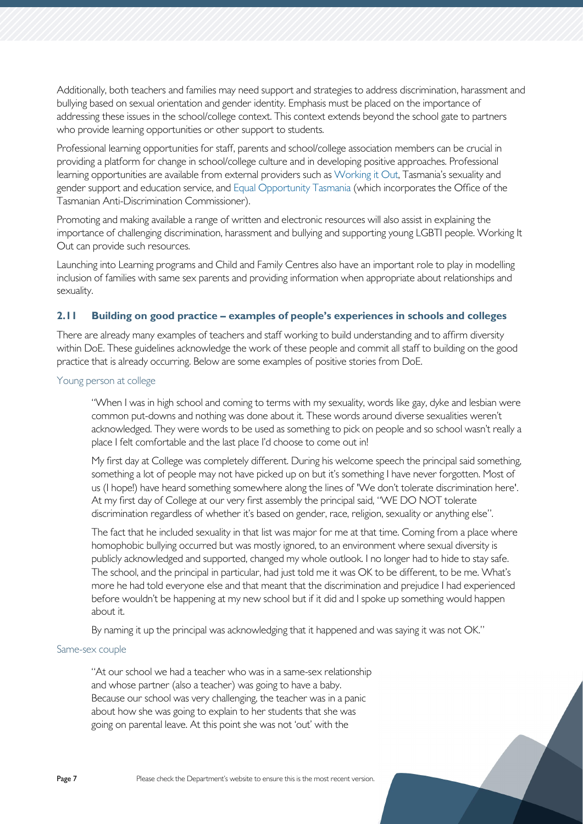Additionally, both teachers and families may need support and strategies to address discrimination, harassment and bullying based on sexual orientation and gender identity. Emphasis must be placed on the importance of addressing these issues in the school/college context. This context extends beyond the school gate to partners who provide learning opportunities or other support to students.

Professional learning opportunities for staff, parents and school/college association members can be crucial in providing a platform for change in school/college culture and in developing positive approaches. Professional learning opportunities are available from external providers such as [Working it Out,](http://www.workingitout.org.au/) Tasmania's sexuality and gender support and education service, an[d Equal Opportunity Tasmania](https://equalopportunity.tas.gov.au/) (which incorporates the Office of the Tasmanian Anti-Discrimination Commissioner).

Promoting and making available a range of written and electronic resources will also assist in explaining the importance of challenging discrimination, harassment and bullying and supporting young LGBTI people. Working It Out can provide such resources.

Launching into Learning programs and Child and Family Centres also have an important role to play in modelling inclusion of families with same sex parents and providing information when appropriate about relationships and sexuality.

## **2.11 Building on good practice – examples of people's experiences in schools and colleges**

There are already many examples of teachers and staff working to build understanding and to affirm diversity within DoE. These guidelines acknowledge the work of these people and commit all staff to building on the good practice that is already occurring. Below are some examples of positive stories from DoE.

## Young person at college

"When I was in high school and coming to terms with my sexuality, words like gay, dyke and lesbian were common put-downs and nothing was done about it. These words around diverse sexualities weren't acknowledged. They were words to be used as something to pick on people and so school wasn't really a place I felt comfortable and the last place I'd choose to come out in!

My first day at College was completely different. During his welcome speech the principal said something, something a lot of people may not have picked up on but it's something I have never forgotten. Most of us (I hope!) have heard something somewhere along the lines of 'We don't tolerate discrimination here'. At my first day of College at our very first assembly the principal said, "WE DO NOT tolerate discrimination regardless of whether it's based on gender, race, religion, sexuality or anything else".

The fact that he included sexuality in that list was major for me at that time. Coming from a place where homophobic bullying occurred but was mostly ignored, to an environment where sexual diversity is publicly acknowledged and supported, changed my whole outlook. I no longer had to hide to stay safe. The school, and the principal in particular, had just told me it was OK to be different, to be me. What's more he had told everyone else and that meant that the discrimination and prejudice I had experienced before wouldn't be happening at my new school but if it did and I spoke up something would happen about it.

By naming it up the principal was acknowledging that it happened and was saying it was not OK."

#### Same-sex couple

"At our school we had a teacher who was in a same-sex relationship and whose partner (also a teacher) was going to have a baby. Because our school was very challenging, the teacher was in a panic about how she was going to explain to her students that she was going on parental leave. At this point she was not 'out' with the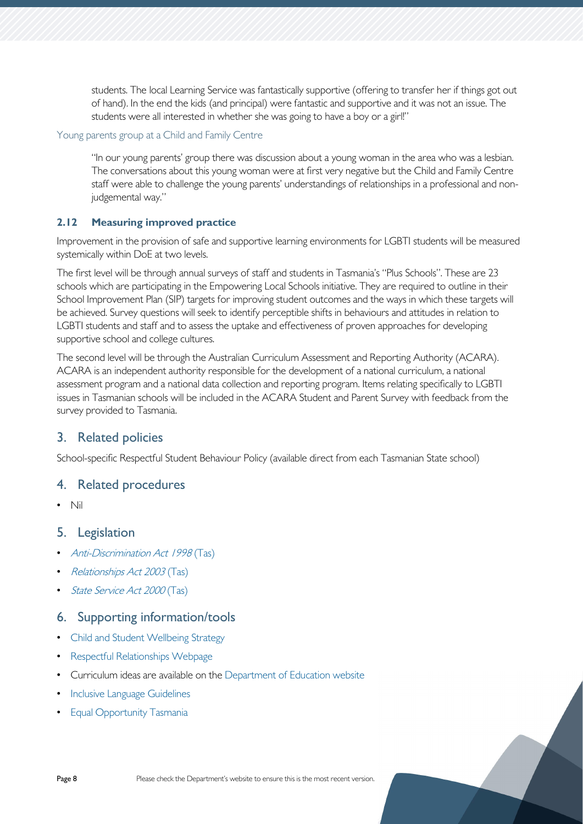students. The local Learning Service was fantastically supportive (offering to transfer her if things got out of hand). In the end the kids (and principal) were fantastic and supportive and it was not an issue. The students were all interested in whether she was going to have a boy or a girl!"

## Young parents group at a Child and Family Centre

"In our young parents' group there was discussion about a young woman in the area who was a lesbian. The conversations about this young woman were at first very negative but the Child and Family Centre staff were able to challenge the young parents' understandings of relationships in a professional and nonjudgemental way."

## **2.12 Measuring improved practice**

Improvement in the provision of safe and supportive learning environments for LGBTI students will be measured systemically within DoE at two levels.

The first level will be through annual surveys of staff and students in Tasmania's "Plus Schools". These are 23 schools which are participating in the Empowering Local Schools initiative. They are required to outline in their School Improvement Plan (SIP) targets for improving student outcomes and the ways in which these targets will be achieved. Survey questions will seek to identify perceptible shifts in behaviours and attitudes in relation to LGBTI students and staff and to assess the uptake and effectiveness of proven approaches for developing supportive school and college cultures.

The second level will be through the Australian Curriculum Assessment and Reporting Authority (ACARA). ACARA is an independent authority responsible for the development of a national curriculum, a national assessment program and a national data collection and reporting program. Items relating specifically to LGBTI issues in Tasmanian schools will be included in the ACARA Student and Parent Survey with feedback from the survey provided to Tasmania.

## <span id="page-7-0"></span>3. Related policies

School-specific Respectful Student Behaviour Policy (available direct from each Tasmanian State school)

## <span id="page-7-1"></span>4. Related procedures

• Nil

## <span id="page-7-2"></span>5. Legislation

- [Anti-Discrimination Act 1998](https://www.legislation.tas.gov.au/view/html/inforce/current/act-1998-046) (Tas)
- [Relationships Act 2003](https://www.legislation.tas.gov.au/view/html/inforce/current/act-2003-044) (Tas)
- [State Service Act 2000](https://www.legislation.tas.gov.au/view/html/inforce/current/act-2000-085) (Tas)

## <span id="page-7-3"></span>6. Supporting information/tools

- [Child and Student Wellbeing Strategy](https://publicdocumentcentre.education.tas.gov.au/_layouts/15/DocIdRedir.aspx?ID=TASED-1797567314-9315)
- [Respectful Relationships Webpage](https://respectfulrelationships.education.tas.gov.au/)
- Curriculum ideas are available on the [Department of Education website](http://www.education.tas.gov.au/)
- [Inclusive Language Guidelines](https://publicdocumentcentre.education.tas.gov.au/_layouts/15/DocIdRedir.aspx?ID=TASED-4-1772)
- [Equal Opportunity Tasmania](https://equalopportunity.tas.gov.au/resources)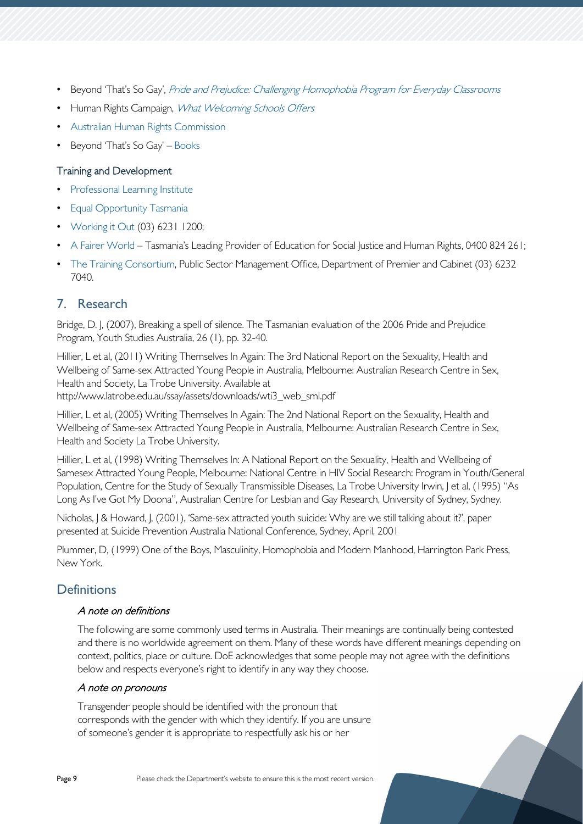- Beyond 'That's So Gay', [Pride and Prejudice: Challenging Homophobia Program for Everyday Classrooms](http://www.thatssogay.com.au/pride-prejudice/)
- Human Rights Campaign, [What Welcoming Schools Offers](http://www.hrc.org/resources/entry/what-welcoming-schools-offer)
- [Australian Human Rights Commission](https://www.humanrights.gov.au/)
- Beyond 'That's So Gay' [Books](http://thatssogay.com.au/book/)

## Training and Development

- [Professional Learning Institute](https://tasedu.sharepoint.com/sites/intranet/SitePages/Professional-Learning-Institute.aspx)
- **[Equal Opportunity Tasmania](https://equalopportunity.tas.gov.au/)**
- [Working it Out](http://www.workingitout.org.au/) (03) 6231 1200;
- [A Fairer World](http://www.afairerworld.org/) Tasmania's Leading Provider of Education for Social Justice and Human Rights, 0400 824 261;
- [The Training Consortium,](http://www.ttc.tas.gov.au/) Public Sector Management Office, Department of Premier and Cabinet (03) 6232 7040.

## <span id="page-8-0"></span>7. Research

Bridge, D. J, (2007), Breaking a spell of silence. The Tasmanian evaluation of the 2006 Pride and Prejudice Program, Youth Studies Australia, 26 (1), pp. 32-40.

Hillier, L et al, (2011) Writing Themselves In Again: The 3rd National Report on the Sexuality, Health and Wellbeing of Same-sex Attracted Young People in Australia, Melbourne: Australian Research Centre in Sex, Health and Society, La Trobe University. Available at http://www.latrobe.edu.au/ssay/assets/downloads/wti3\_web\_sml.pdf

Hillier, L et al, (2005) Writing Themselves In Again: The 2nd National Report on the Sexuality, Health and Wellbeing of Same-sex Attracted Young People in Australia, Melbourne: Australian Research Centre in Sex, Health and Society La Trobe University.

Hillier, L et al, (1998) Writing Themselves In: A National Report on the Sexuality, Health and Wellbeing of Samesex Attracted Young People, Melbourne: National Centre in HIV Social Research: Program in Youth/General Population, Centre for the Study of Sexually Transmissible Diseases, La Trobe University Irwin, J et al, (1995) "As Long As I've Got My Doona", Australian Centre for Lesbian and Gay Research, University of Sydney, Sydney.

Nicholas, J & Howard, J, (2001), 'Same-sex attracted youth suicide: Why are we still talking about it?', paper presented at Suicide Prevention Australia National Conference, Sydney, April, 2001

Plummer, D, (1999) One of the Boys, Masculinity, Homophobia and Modern Manhood, Harrington Park Press, New York.

## <span id="page-8-1"></span>**Definitions**

## A note on definitions

The following are some commonly used terms in Australia. Their meanings are continually being contested and there is no worldwide agreement on them. Many of these words have different meanings depending on context, politics, place or culture. DoE acknowledges that some people may not agree with the definitions below and respects everyone's right to identify in any way they choose.

## A note on pronouns

Transgender people should be identified with the pronoun that corresponds with the gender with which they identify. If you are unsure of someone's gender it is appropriate to respectfully ask his or her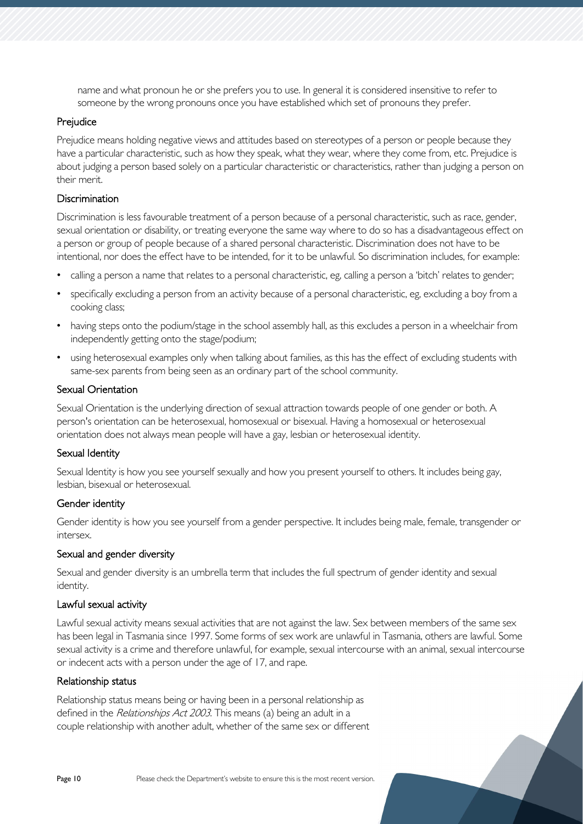name and what pronoun he or she prefers you to use. In general it is considered insensitive to refer to someone by the wrong pronouns once you have established which set of pronouns they prefer.

## Prejudice

Prejudice means holding negative views and attitudes based on stereotypes of a person or people because they have a particular characteristic, such as how they speak, what they wear, where they come from, etc. Prejudice is about judging a person based solely on a particular characteristic or characteristics, rather than judging a person on their merit.

## **Discrimination**

Discrimination is less favourable treatment of a person because of a personal characteristic, such as race, gender, sexual orientation or disability, or treating everyone the same way where to do so has a disadvantageous effect on a person or group of people because of a shared personal characteristic. Discrimination does not have to be intentional, nor does the effect have to be intended, for it to be unlawful. So discrimination includes, for example:

- calling a person a name that relates to a personal characteristic, eg, calling a person a 'bitch' relates to gender;
- specifically excluding a person from an activity because of a personal characteristic, eg, excluding a boy from a cooking class;
- having steps onto the podium/stage in the school assembly hall, as this excludes a person in a wheelchair from independently getting onto the stage/podium;
- using heterosexual examples only when talking about families, as this has the effect of excluding students with same-sex parents from being seen as an ordinary part of the school community.

## Sexual Orientation

Sexual Orientation is the underlying direction of sexual attraction towards people of one gender or both. A person's orientation can be heterosexual, homosexual or bisexual. Having a homosexual or heterosexual orientation does not always mean people will have a gay, lesbian or heterosexual identity.

## Sexual Identity

Sexual Identity is how you see yourself sexually and how you present yourself to others. It includes being gay, lesbian, bisexual or heterosexual.

## Gender identity

Gender identity is how you see yourself from a gender perspective. It includes being male, female, transgender or intersex.

## Sexual and gender diversity

Sexual and gender diversity is an umbrella term that includes the full spectrum of gender identity and sexual identity.

## Lawful sexual activity

Lawful sexual activity means sexual activities that are not against the law. Sex between members of the same sex has been legal in Tasmania since 1997. Some forms of sex work are unlawful in Tasmania, others are lawful. Some sexual activity is a crime and therefore unlawful, for example, sexual intercourse with an animal, sexual intercourse or indecent acts with a person under the age of 17, and rape.

## Relationship status

Relationship status means being or having been in a personal relationship as defined in the Relationships Act 2003. This means (a) being an adult in a couple relationship with another adult, whether of the same sex or different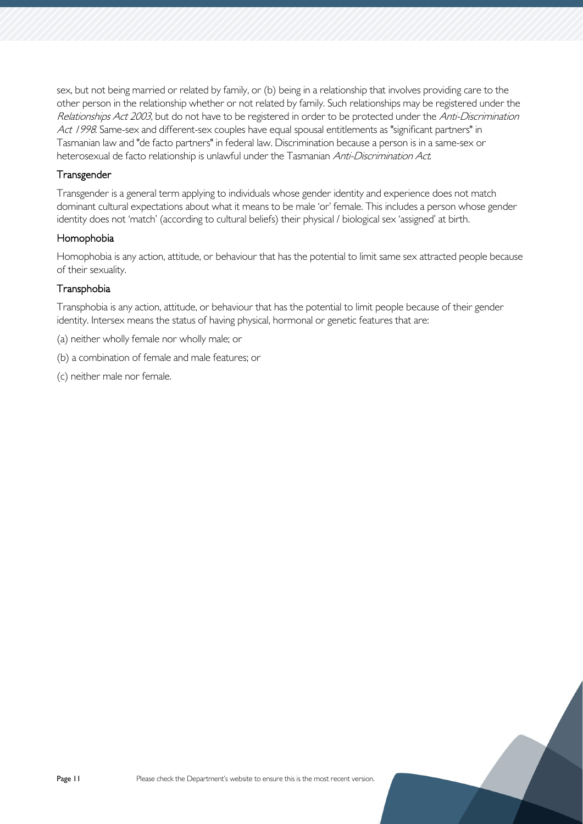sex, but not being married or related by family, or (b) being in a relationship that involves providing care to the other person in the relationship whether or not related by family. Such relationships may be registered under the Relationships Act 2003, but do not have to be registered in order to be protected under the Anti-Discrimination Act 1998. Same-sex and different-sex couples have equal spousal entitlements as "significant partners" in Tasmanian law and "de facto partners" in federal law. Discrimination because a person is in a same-sex or heterosexual de facto relationship is unlawful under the Tasmanian Anti-Discrimination Act.

## **Transgender**

Transgender is a general term applying to individuals whose gender identity and experience does not match dominant cultural expectations about what it means to be male 'or' female. This includes a person whose gender identity does not 'match' (according to cultural beliefs) their physical / biological sex 'assigned' at birth.

## Homophobia

Homophobia is any action, attitude, or behaviour that has the potential to limit same sex attracted people because of their sexuality.

## **Transphobia**

Transphobia is any action, attitude, or behaviour that has the potential to limit people because of their gender identity. Intersex means the status of having physical, hormonal or genetic features that are:

- (a) neither wholly female nor wholly male; or
- (b) a combination of female and male features; or
- (c) neither male nor female.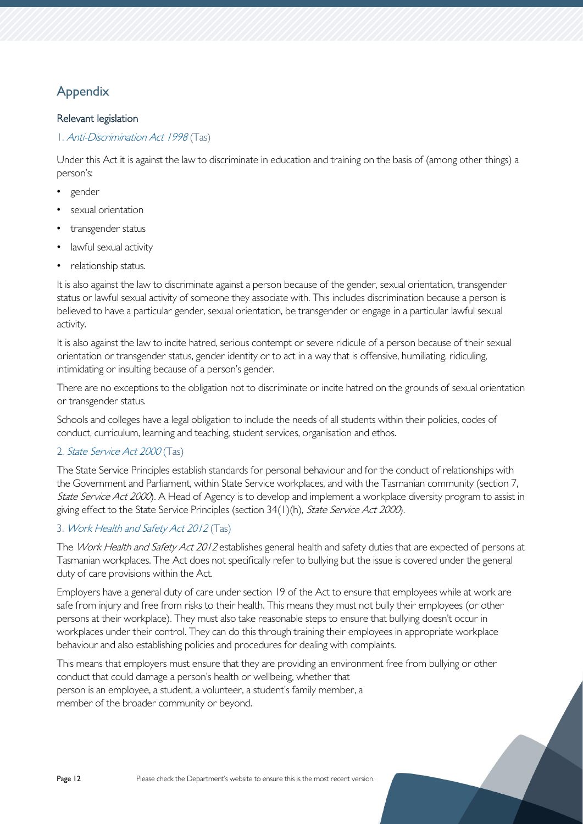## <span id="page-11-0"></span>Appendix

## Relevant legislation

## 1. [Anti-Discrimination Act 1998](https://www.legislation.tas.gov.au/view/html/inforce/current/act-1998-046) (Tas)

Under this Act it is against the law to discriminate in education and training on the basis of (among other things) a person's:

- gender
- sexual orientation
- transgender status
- lawful sexual activity
- relationship status.

It is also against the law to discriminate against a person because of the gender, sexual orientation, transgender status or lawful sexual activity of someone they associate with. This includes discrimination because a person is believed to have a particular gender, sexual orientation, be transgender or engage in a particular lawful sexual activity.

It is also against the law to incite hatred, serious contempt or severe ridicule of a person because of their sexual orientation or transgender status, gender identity or to act in a way that is offensive, humiliating, ridiculing, intimidating or insulting because of a person's gender.

There are no exceptions to the obligation not to discriminate or incite hatred on the grounds of sexual orientation or transgender status.

Schools and colleges have a legal obligation to include the needs of all students within their policies, codes of conduct, curriculum, learning and teaching, student services, organisation and ethos.

## 2. [State Service Act 2000](https://www.legislation.tas.gov.au/view/html/inforce/current/act-2000-085) (Tas)

The State Service Principles establish standards for personal behaviour and for the conduct of relationships with the Government and Parliament, within State Service workplaces, and with the Tasmanian community (section 7, State Service Act 2000). A Head of Agency is to develop and implement a workplace diversity program to assist in giving effect to the State Service Principles (section 34(1)(h), State Service Act 2000).

## 3. [Work Health and Safety Act 2012](https://www.legislation.tas.gov.au/view/html/inforce/current/act-2012-001) (Tas)

The Work Health and Safety Act 2012 establishes general health and safety duties that are expected of persons at Tasmanian workplaces. The Act does not specifically refer to bullying but the issue is covered under the general duty of care provisions within the Act.

Employers have a general duty of care under section 19 of the Act to ensure that employees while at work are safe from injury and free from risks to their health. This means they must not bully their employees (or other persons at their workplace). They must also take reasonable steps to ensure that bullying doesn't occur in workplaces under their control. They can do this through training their employees in appropriate workplace behaviour and also establishing policies and procedures for dealing with complaints.

This means that employers must ensure that they are providing an environment free from bullying or other conduct that could damage a person's health or wellbeing, whether that person is an employee, a student, a volunteer, a student's family member, a member of the broader community or beyond.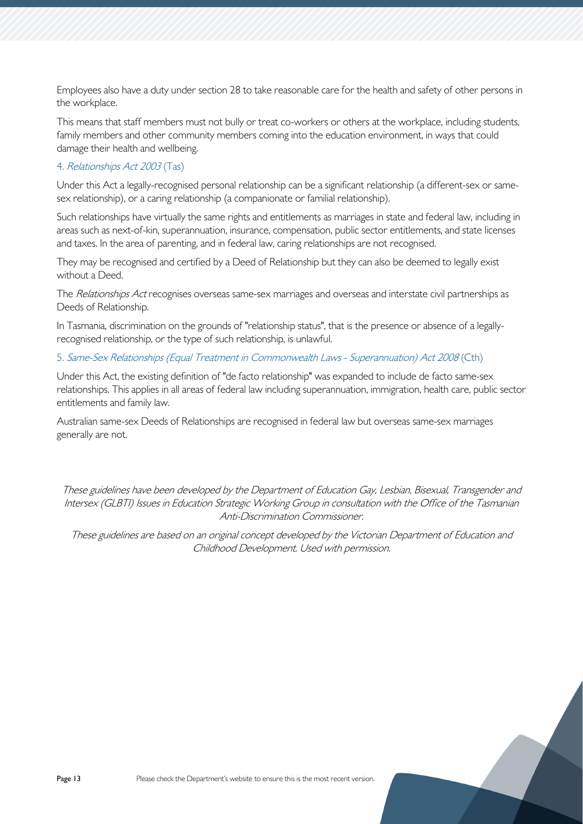Employees also have a duty under section 28 to take reasonable care for the health and safety of other persons in the workplace.

This means that staff members must not bully or treat co-workers or others at the workplace, including students, family members and other community members coming into the education environment, in ways that could damage their health and wellbeing.

## 4. [Relationships Act 2003](https://www.legislation.tas.gov.au/view/html/inforce/current/act-2003-044) (Tas)

Under this Act a legally-recognised personal relationship can be a significant relationship (a different-sex or samesex relationship), or a caring relationship (a companionate or familial relationship).

Such relationships have virtually the same rights and entitlements as marriages in state and federal law, including in areas such as next-of-kin, superannuation, insurance, compensation, public sector entitlements, and state licenses and taxes. In the area of parenting, and in federal law, caring relationships are not recognised.

They may be recognised and certified by a Deed of Relationship but they can also be deemed to legally exist without a Deed.

The Relationships Act recognises overseas same-sex marriages and overseas and interstate civil partnerships as Deeds of Relationship.

In Tasmania, discrimination on the grounds of "relationship status", that is the presence or absence of a legallyrecognised relationship, or the type of such relationship, is unlawful.

5. [Same-Sex Relationships \(Equal Treatment in Commonwealth Laws -](https://www.legislation.gov.au/Details/C2015C00455) Superannuation) Act 2008 (Cth)

Under this Act, the existing definition of "de facto relationship" was expanded to include de facto same-sex relationships. This applies in all areas of federal law including superannuation, immigration, health care, public sector entitlements and family law.

Australian same-sex Deeds of Relationships are recognised in federal law but overseas same-sex marriages generally are not.

These guidelines have been developed by the Department of Education Gay, Lesbian, Bisexual, Transgender and Intersex (GLBTI) Issues in Education Strategic Working Group in consultation with the Office of the Tasmanian Anti-Discrimination Commissioner.

These guidelines are based on an original concept developed by the Victorian Department of Education and Childhood Development. Used with permission.